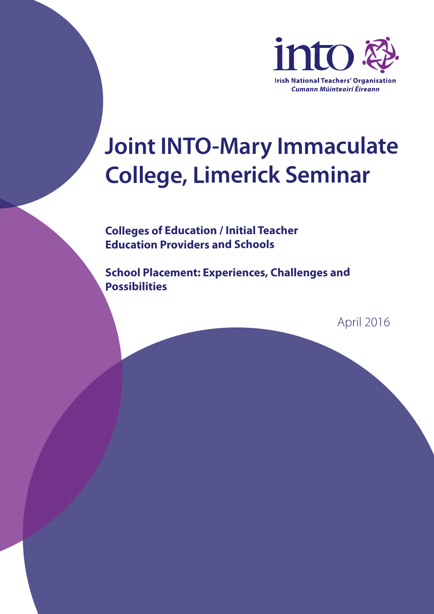

# **Joint INTO-Mary Immaculate College, Limerick Seminar**

**Colleges of Education / Initial Teacher Education Providers and Schools**

**School Placement: Experiences, Challenges and Possibilities**

April 2016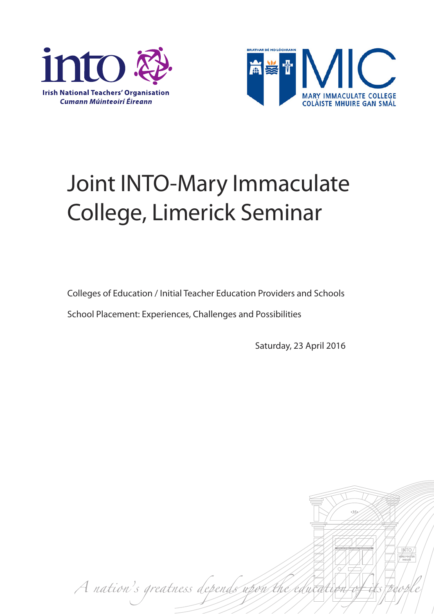



# Joint INTO-Mary Immaculate College, Limerick Seminar

Colleges of Education / Initial Teacher Education Providers and Schools

School Placement: Experiences, Challenges and Possibilities

Saturday, 23 April 2016

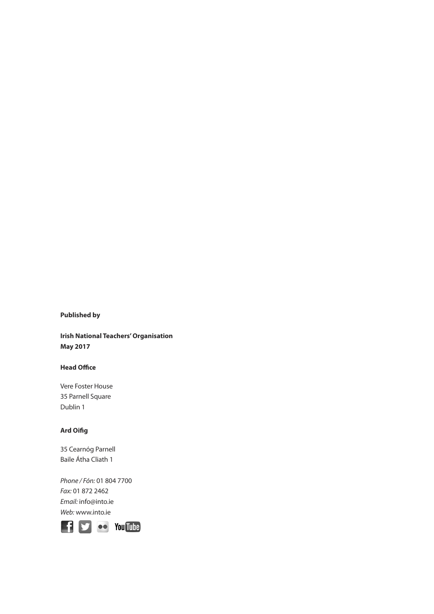#### **Published by**

**Irish National Teachers'Organisation May 2017**

#### **Head Office**

Vere Foster House 35 Parnell Square Dublin 1

#### **Ard Oifig**

35 Cearnóg Parnell Baile Átha Cliath 1

Phone / Fón: 01 804 7700 Fax: 01 872 2462 Email: info@into.ie Web: www.into.ie

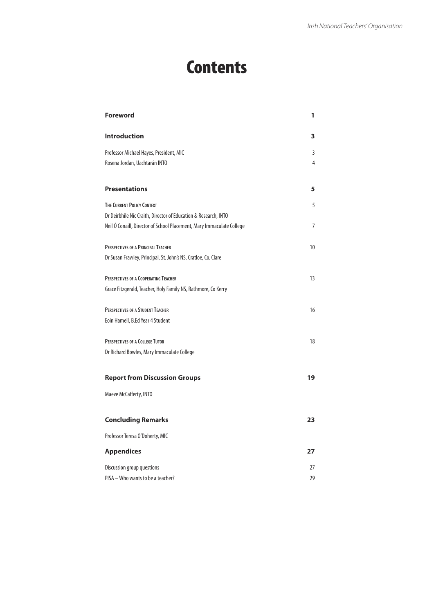# **Contents**

| <b>Foreword</b>                                                       | 1  |
|-----------------------------------------------------------------------|----|
| <b>Introduction</b>                                                   | 3  |
| Professor Michael Hayes, President, MIC                               | 3  |
| Rosena Jordan, Uachtarán INTO                                         | 4  |
| <b>Presentations</b>                                                  | 5  |
| <b>THE CURRENT POLICY CONTEXT</b>                                     | 5  |
| Dr Deirbhile Nic Craith, Director of Education & Research, INTO       |    |
| Neil Ó Conaill, Director of School Placement, Mary Immaculate College | 7  |
| PERSPECTIVES OF A PRINCIPAL TEACHER                                   | 10 |
| Dr Susan Frawley, Principal, St. John's NS, Cratloe, Co. Clare        |    |
| PERSPECTIVES OF A COOPERATING TEACHER                                 | 13 |
| Grace Fitzgerald, Teacher, Holy Family NS, Rathmore, Co Kerry         |    |
| PERSPECTIVES OF A STUDENT TEACHER                                     | 16 |
| Eoin Hamell, B.Ed Year 4 Student                                      |    |
| <b>PERSPECTIVES OF A COLLEGE TUTOR</b>                                | 18 |
| Dr Richard Bowles, Mary Immaculate College                            |    |
| <b>Report from Discussion Groups</b>                                  | 19 |
| Maeve McCafferty, INTO                                                |    |
| <b>Concluding Remarks</b>                                             | 23 |
| Professor Teresa O'Doherty, MIC                                       |    |
| <b>Appendices</b>                                                     | 27 |
| Discussion group questions                                            | 27 |
| PISA - Who wants to be a teacher?                                     | 29 |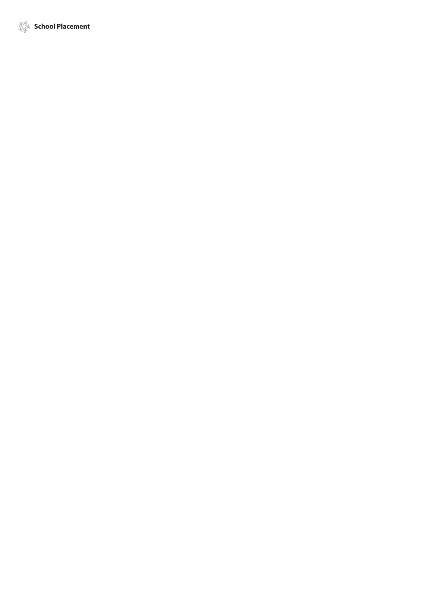

**School Placement**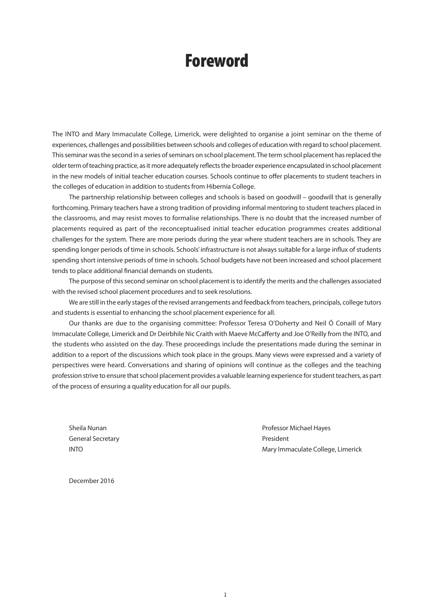### **Foreword**

The INTO and Mary Immaculate College, Limerick, were delighted to organise a joint seminar on the theme of experiences, challenges and possibilities between schools and colleges of education with regard to school placement. This seminar was the second in a series of seminars on school placement. The term school placement has replaced the olderterm ofteaching practice, asit more adequately reflectsthe broader experience encapsulated in school placement in the new models of initial teacher education courses. Schools continue to offer placements to student teachers in the colleges of education in addition to students from Hibernia College.

The partnership relationship between colleges and schools is based on goodwill – goodwill that is generally forthcoming. Primary teachers have a strong tradition of providing informal mentoring to student teachers placed in the classrooms, and may resist moves to formalise relationships. There is no doubt that the increased number of placements required as part of the reconceptualised initial teacher education programmes creates additional challenges for the system. There are more periods during the year where student teachers are in schools. They are spending longer periods of time in schools. Schools'infrastructure is not always suitable for a large influx of students spending short intensive periods of time in schools. School budgets have not been increased and school placement tends to place additional financial demands on students.

The purpose of this second seminar on school placement is to identify the merits and the challenges associated with the revised school placement procedures and to seek resolutions.

We are still in the early stages of the revised arrangements and feedback from teachers, principals, college tutors and students is essential to enhancing the school placement experience for all.

Our thanks are due to the organising committee: Professor Teresa O'Doherty and Neil Ó Conaill of Mary Immaculate College, Limerick and Dr Deirbhile Nic Craith with Maeve McCafferty and Joe O'Reilly from the INTO, and the students who assisted on the day. These proceedings include the presentations made during the seminar in addition to a report of the discussions which took place in the groups. Many views were expressed and a variety of perspectives were heard. Conversations and sharing of opinions will continue as the colleges and the teaching profession strive to ensure thatschool placement provides a valuable learning experience forstudentteachers, as part of the process of ensuring a quality education for all our pupils.

General Secretary **President** 

Sheila Nunan Professor Michael Hayes INTO **INTO Mary Immaculate College, Limerick Mary Immaculate College, Limerick** 

December 2016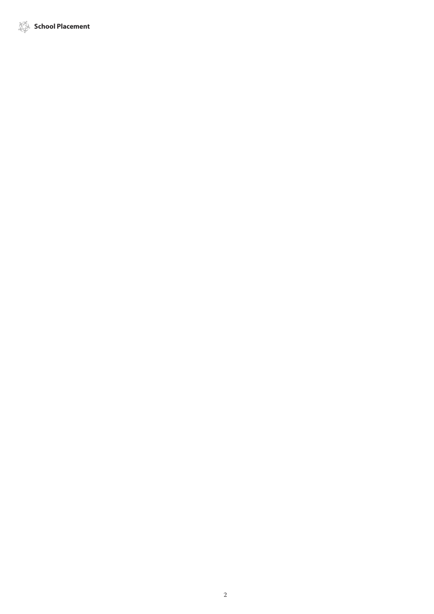

**School Placement**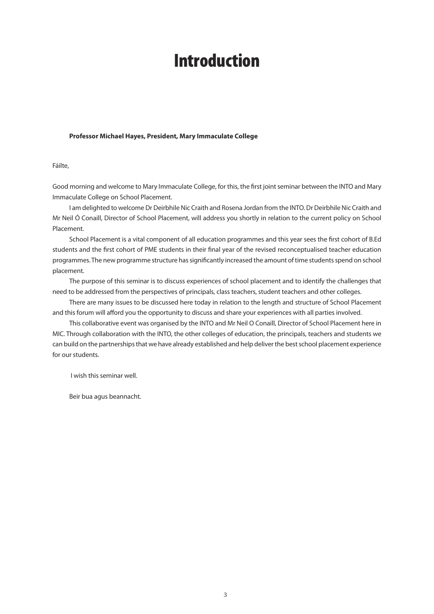### **Introduction**

#### **Professor Michael Hayes, President, Mary Immaculate College**

#### Fáilte,

Good morning and welcome to Mary Immaculate College, for this, the first joint seminar between the INTO and Mary Immaculate College on School Placement.

I am delighted to welcome Dr Deirbhile Nic Craith and Rosena Jordan from the INTO. Dr Deirbhile Nic Craith and Mr Neil Ó Conaill, Director of School Placement, will address you shortly in relation to the current policy on School Placement.

School Placement is a vital component of all education programmes and this year sees the first cohort of B.Ed students and the first cohort of PME students in their final year of the revised reconceptualised teacher education programmes.The new programme structure hassignificantly increased the amount oftime studentsspend on school placement.

The purpose of this seminar is to discuss experiences of school placement and to identify the challenges that need to be addressed from the perspectives of principals, class teachers, student teachers and other colleges.

There are many issues to be discussed here today in relation to the length and structure of School Placement and this forum will afford you the opportunity to discuss and share your experiences with all parties involved.

This collaborative event was organised by the INTO and Mr Neil O Conaill, Director of School Placement here in MIC. Through collaboration with the INTO, the other colleges of education, the principals, teachers and students we can build on the partnerships that we have already established and help deliver the best school placement experience for our students.

I wish this seminar well.

Beir bua agus beannacht.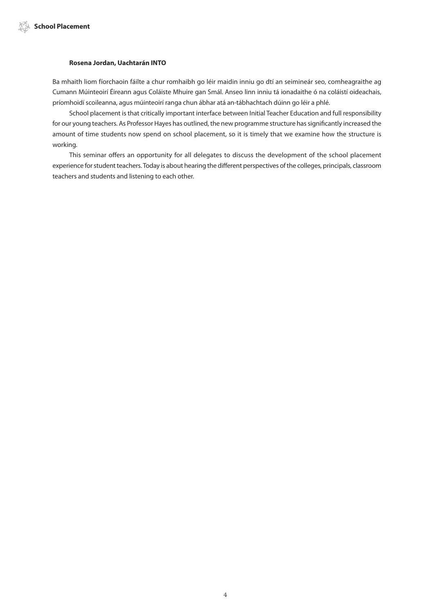#### **Rosena Jordan, Uachtarán INTO**

Ba mhaith liom fíorchaoin fáilte a chur romhaibh go léir maidin inniu go dtí an seimineár seo, comheagraithe ag Cumann Múinteoirí Éireann agus Coláiste Mhuire gan Smál. Anseo linn inniu tá ionadaithe ó na coláistí oideachais, príomhoidí scoileanna, agus múinteoirí ranga chun ábhar atá an-tábhachtach dúinn go léir a phlé.

School placement is that critically important interface between Initial Teacher Education and full responsibility for our young teachers. As Professor Hayes has outlined, the new programme structure hassignificantly increased the amount of time students now spend on school placement, so it is timely that we examine how the structure is working.

This seminar offers an opportunity for all delegates to discuss the development of the school placement experience for student teachers. Today is about hearing the different perspectives of the colleges, principals, classroom teachers and students and listening to each other.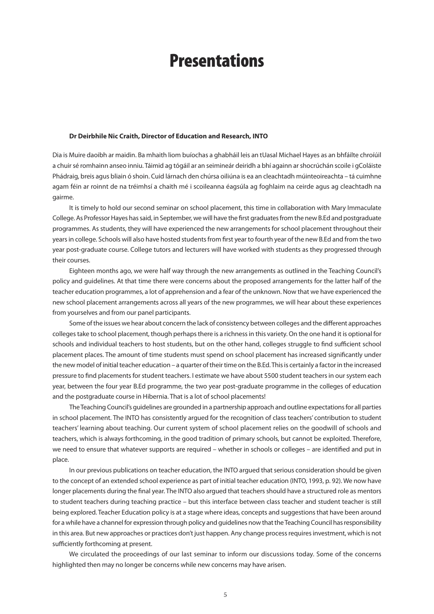### **Presentations**

#### **Dr Deirbhile Nic Craith, Director of Education and Research, INTO**

Dia is Muire daoibh ar maidin. Ba mhaith liom buíochas a ghabháil leis an tUasal Michael Hayes as an bhfáilte chroíúil a chuirsé romhainn anseo inniu. Táimid ag tógáil ar an seimineár deiridh a bhí againn arshocrúchán scoile i gColáiste Phádraig, breis agus bliain ó shoin. Cuid lárnach den chúrsa oiliúna is ea an cleachtadh múinteoireachta – tá cuimhne agam féin ar roinnt de na tréimhsí a chaith mé i scoileanna éagsúla ag foghlaim na ceirde agus ag cleachtadh na gairme.

It is timely to hold our second seminar on school placement, this time in collaboration with Mary Immaculate College. As Professor Hayes has said, in September, we will have the first graduates from the new B.Ed and postgraduate programmes. As students, they will have experienced the new arrangements for school placement throughout their years in college. Schools will also have hosted students from first year to fourth year of the new B.Ed and from the two year post-graduate course. College tutors and lecturers will have worked with students as they progressed through their courses.

Eighteen months ago, we were half way through the new arrangements as outlined in the Teaching Council's policy and guidelines. At that time there were concerns about the proposed arrangements for the latter half of the teacher education programmes, a lot of apprehension and a fear of the unknown. Now that we have experienced the new school placement arrangements across all years of the new programmes, we will hear about these experiences from yourselves and from our panel participants.

Some ofthe issues we hear about concern the lack of consistency between colleges and the different approaches colleges take to school placement, though perhaps there is a richness in this variety. On the one hand it is optional for schools and individual teachers to host students, but on the other hand, colleges struggle to find sufficient school placement places. The amount of time students must spend on school placement has increased significantly under the new model of initial teacher education – a quarter of their time on the B.Ed. This is certainly a factor in the increased pressure to find placements for student teachers. I estimate we have about 5500 student teachers in our system each year, between the four year B.Ed programme, the two year post-graduate programme in the colleges of education and the postgraduate course in Hibernia. That is a lot of school placements!

TheTeaching Council's guidelines are grounded in a partnership approach and outline expectationsfor all parties in school placement. The INTO has consistently argued for the recognition of class teachers' contribution to student teachers' learning about teaching. Our current system of school placement relies on the goodwill of schools and teachers, which is always forthcoming, in the good tradition of primary schools, but cannot be exploited. Therefore, we need to ensure that whatever supports are required – whether in schools or colleges – are identified and put in place.

In our previous publications on teacher education, the INTO argued that serious consideration should be given to the concept of an extended school experience as part of initial teacher education (INTO, 1993, p. 92). We now have longer placements during the final year. The INTO also argued that teachers should have a structured role as mentors to student teachers during teaching practice – but this interface between class teacher and student teacher is still being explored. Teacher Education policy is at a stage where ideas, concepts and suggestionsthat have been around for a while have a channel for expression through policy and guidelines now that the Teaching Council has responsibility in this area. But new approaches or practices don't just happen. Any change process requires investment, which is not sufficiently forthcoming at present.

We circulated the proceedings of our last seminar to inform our discussions today. Some of the concerns highlighted then may no longer be concerns while new concerns may have arisen.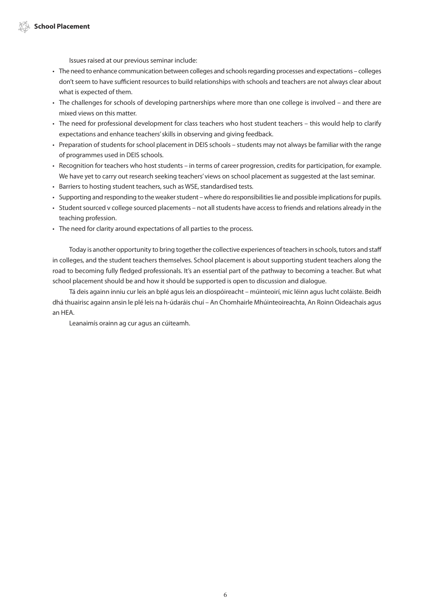Issues raised at our previous seminar include:

- The need to enhance communication between colleges and schools regarding processes and expectations colleges don't seem to have sufficient resources to build relationships with schools and teachers are not always clear about what is expected of them.
- The challenges for schools of developing partnerships where more than one college is involved and there are mixed views on this matter.
- The need for professional development for class teachers who host student teachers this would help to clarify expectations and enhance teachers'skills in observing and giving feedback.
- Preparation of students for school placement in DEIS schools students may not always be familiar with the range of programmes used in DEIS schools.
- Recognition for teachers who host students in terms of career progression, credits for participation, for example. We have yet to carry out research seeking teachers'views on school placement as suggested at the last seminar.
- Barriers to hosting student teachers, such as WSE, standardised tests.
- Supporting and responding to the weaker student where do responsibilities lie and possible implications for pupils.
- Student sourced v college sourced placements not all students have access to friends and relations already in the teaching profession.
- The need for clarity around expectations of all parties to the process.

Today is another opportunity to bring together the collective experiences of teachers in schools, tutors and staff in colleges, and the student teachers themselves. School placement is about supporting student teachers along the road to becoming fully fledged professionals. It's an essential part of the pathway to becoming a teacher. But what school placement should be and how it should be supported is open to discussion and dialogue.

Tá deis againn inniu cur leis an bplé agus leis an díospóireacht – múinteoirí, mic léinn agus lucht coláiste. Beidh dhá thuairisc againn ansin le plé leis na h-údaráis chuí – An Chomhairle Mhúinteoireachta, An Roinn Oideachais agus an HEA.

Leanaimís orainn ag cur agus an cúiteamh.

6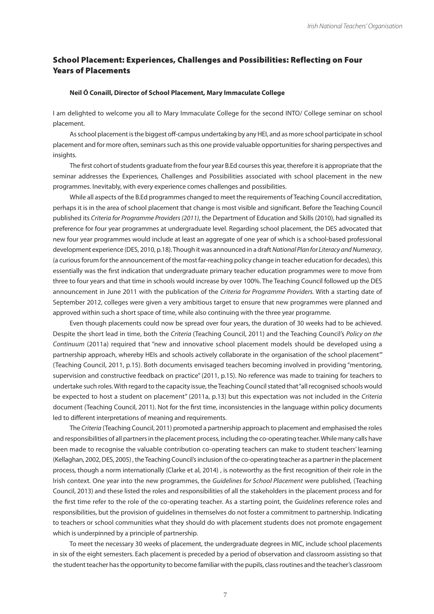#### **School Placement: Experiences, Challenges and Possibilities: Reflecting on Four Years of Placements**

#### **Neil Ó Conaill, Director of School Placement, Mary Immaculate College**

I am delighted to welcome you all to Mary Immaculate College for the second INTO/ College seminar on school placement.

As school placement is the biggest off-campus undertaking by any HEI, and as more school participate in school placement and for more often, seminars such as this one provide valuable opportunities for sharing perspectives and insights.

The first cohort of students graduate from the four year B.Ed courses this year, therefore it is appropriate that the seminar addresses the Experiences, Challenges and Possibilities associated with school placement in the new programmes. Inevitably, with every experience comes challenges and possibilities.

While all aspects of the B.Ed programmes changed to meet the requirements of Teaching Council accreditation, perhaps it is in the area of school placement that change is most visible and significant. Before the Teaching Council published its Criteria for Programme Providers (2011), the Department of Education and Skills (2010), had signalled its preference for four year programmes at undergraduate level. Regarding school placement, the DES advocated that new four year programmes would include at least an aggregate of one year of which is a school-based professional development experience (DES, 2010, p.18). Though it was announced in a draft National Plan for Literacy and Numeracy, (a curiousforum for the announcement of the most far-reaching policy change in teacher education for decades), this essentially was the first indication that undergraduate primary teacher education programmes were to move from three to four years and that time in schools would increase by over 100%. The Teaching Council followed up the DES announcement in June 2011 with the publication of the Criteria for Programme Providers. With a starting date of September 2012, colleges were given a very ambitious target to ensure that new programmes were planned and approved within such a short space of time, while also continuing with the three year programme.

Even though placements could now be spread over four years, the duration of 30 weeks had to be achieved. Despite the short lead in time, both the Criteria (Teaching Council, 2011) and the Teaching Council's Policy on the Continuum (2011a) required that "new and innovative school placement models should be developed using a partnership approach, whereby HEIs and schools actively collaborate in the organisation of the school placement<sup>"</sup> (Teaching Council, 2011, p.15). Both documents envisaged teachers becoming involved in providing "mentoring, supervision and constructive feedback on practice"(2011, p.15). No reference was made to training for teachers to undertake such roles. With regard to the capacity issue, the Teaching Council stated that "all recognised schools would be expected to host a student on placement" (2011a, p.13) but this expectation was not included in the Criteria document (Teaching Council, 2011). Not for the first time, inconsistencies in the language within policy documents led to different interpretations of meaning and requirements.

The Criteria (Teaching Council, 2011) promoted a partnership approach to placement and emphasised the roles and responsibilities of all partnersin the placement process, including the co-operating teacher.While many calls have been made to recognise the valuable contribution co-operating teachers can make to student teachers' learning (Kellaghan, 2002,DES, 2005) ,theTeaching Council'sinclusion ofthe co-operating teacher as a partnerin the placement process, though a norm internationally (Clarke et al, 2014) , is noteworthy as the first recognition of their role in the Irish context. One year into the new programmes, the Guidelines for School Placement were published, (Teaching Council, 2013) and these listed the roles and responsibilities of all the stakeholders in the placement process and for the first time refer to the role of the co-operating teacher. As a starting point, the Guidelines reference roles and responsibilities, but the provision of guidelines in themselves do not foster a commitment to partnership. Indicating to teachers or school communities what they should do with placement students does not promote engagement which is underpinned by a principle of partnership.

To meet the necessary 30 weeks of placement, the undergraduate degrees in MIC, include school placements in six of the eight semesters. Each placement is preceded by a period of observation and classroom assisting so that the student teacher has the opportunity to become familiar with the pupils, class routines and the teacher's classroom

7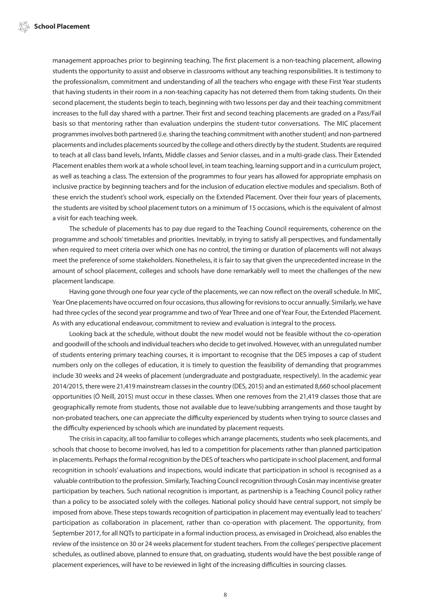management approaches prior to beginning teaching. The first placement is a non-teaching placement, allowing students the opportunity to assist and observe in classrooms without any teaching responsibilities. It is testimony to the professionalism, commitment and understanding of all the teachers who engage with these First Year students that having students in their room in a non-teaching capacity has not deterred them from taking students. On their second placement, the students begin to teach, beginning with two lessons per day and their teaching commitment increases to the full day shared with a partner. Their first and second teaching placements are graded on a Pass/Fail basis so that mentoring rather than evaluation underpins the student-tutor conversations. The MIC placement programmesinvolves both partnered (i.e.sharing the teaching commitment with anotherstudent) and non-partnered placements and includes placementssourced by the college and others directly by the student. Students are required to teach at all class band levels, Infants, Middle classes and Senior classes, and in a multi-grade class. Their Extended Placement enables them work at a whole school level, in team teaching, learning support and in a curriculum project, as well as teaching a class. The extension of the programmes to four years has allowed for appropriate emphasis on inclusive practice by beginning teachers and for the inclusion of education elective modules and specialism. Both of these enrich the student's school work, especially on the Extended Placement. Over their four years of placements, the students are visited by school placement tutors on a minimum of 15 occasions, which isthe equivalent of almost a visit for each teaching week.

The schedule of placements has to pay due regard to the Teaching Council requirements, coherence on the programme and schools'timetables and priorities. Inevitably, in trying to satisfy all perspectives, and fundamentally when required to meet criteria over which one has no control, the timing or duration of placements will not always meet the preference of some stakeholders. Nonetheless, it is fair to say that given the unprecedented increase in the amount of school placement, colleges and schools have done remarkably well to meet the challenges of the new placement landscape.

Having gone through one four year cycle of the placements, we can now reflect on the overall schedule. In MIC, Year One placements have occurred on four occasions, thus allowing for revisions to occur annually. Similarly, we have had three cycles of the second year programme and two of Year Three and one of Year Four, the Extended Placement. As with any educational endeavour, commitment to review and evaluation is integral to the process.

Looking back at the schedule, without doubt the new model would not be feasible without the co-operation and goodwill of the schools and individual teachers who decide to get involved. However, with an unregulated number of students entering primary teaching courses, it is important to recognise that the DES imposes a cap of student numbers only on the colleges of education, it is timely to question the feasibility of demanding that programmes include 30 weeks and 24 weeks of placement (undergraduate and postgraduate, respectively). In the academic year 2014/2015, there were 21,419 mainstream classes in the country (DES, 2015) and an estimated 8,660 school placement opportunities (Ó Neill, 2015) must occur in these classes. When one removes from the 21,419 classes those that are geographically remote from students, those not available due to leave/subbing arrangements and those taught by non-probated teachers, one can appreciate the difficulty experienced by students when trying to source classes and the difficulty experienced by schools which are inundated by placement requests.

The crisis in capacity, all too familiar to colleges which arrange placements, students who seek placements, and schools that choose to become involved, has led to a competition for placements rather than planned participation in placements. Perhaps the formal recognition by the DES of teachers who participate in school placement, and formal recognition in schools' evaluations and inspections, would indicate that participation in school is recognised as a valuable contribution to the profession. Similarly,Teaching Councilrecognition through Cosán may incentivise greater participation by teachers. Such national recognition is important, as partnership is a Teaching Council policy rather than a policy to be associated solely with the colleges. National policy should have central support, not simply be imposed from above. These steps towards recognition of participation in placement may eventually lead to teachers' participation as collaboration in placement, rather than co-operation with placement. The opportunity, from September 2017, for all NQTs to participate in a formal induction process, as envisaged in Droichead, also enables the review of the insistence on 30 or 24 weeks placement forstudent teachers. From the colleges'perspective placement schedules, as outlined above, planned to ensure that, on graduating, students would have the best possible range of placement experiences, will have to be reviewed in light of the increasing difficulties in sourcing classes.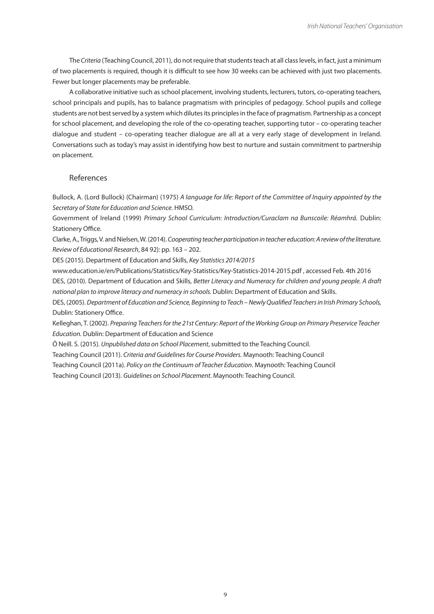The Criteria (Teaching Council, 2011), do not require that students teach at all class levels, in fact, just a minimum of two placements is required, though it is difficult to see how 30 weeks can be achieved with just two placements. Fewer but longer placements may be preferable.

A collaborative initiative such as school placement, involving students, lecturers, tutors, co-operating teachers, school principals and pupils, has to balance pragmatism with principles of pedagogy. School pupils and college students are not best served by a system which dilutes its principles in the face of pragmatism. Partnership as a concept for school placement, and developing the role of the co-operating teacher, supporting tutor – co-operating teacher dialogue and student – co-operating teacher dialogue are all at a very early stage of development in Ireland. Conversations such as today's may assist in identifying how best to nurture and sustain commitment to partnership on placement.

#### References

Bullock, A. (Lord Bullock) (Chairman) (1975) A language for life: Report of the Committee of Inquiry appointed by the Secretary of State for Education and Science. HMSO.

Government of Ireland (1999) Primary School Curriculum: Introduction/Curaclam na Bunscoile: Réamhrá. Dublin: Stationery Office.

Clarke, A., Triggs, V. and Nielsen, W. (2014). Cooperating teacher participation in teacher education: A review of the literature. Review of Educational Research, 84 92): pp. 163 – 202.

DES (2015). Department of Education and Skills, Key Statistics 2014/2015

www.education.ie/en/Publications/Statistics/Key-Statistics/Key-Statistics-2014-2015.pdf , accessed Feb. 4th 2016 DES, (2010). Department of Education and Skills, Better Literacy and Numeracy for children and young people. A draft

national plan to improve literacy and numeracy in schools. Dublin: Department of Education and Skills.

DES, (2005). Department of Education and Science, Beginning to Teach – Newly Qualified Teachers in Irish Primary Schools, Dublin: Stationery Office.

Kelleghan, T. (2002). Preparing Teachers for the 21st Century: Report of the Working Group on Primary Preservice Teacher Education. Dublin: Department of Education and Science

Ó Neill. S. (2015). Unpublished data on School Placement, submitted to the Teaching Council.

Teaching Council (2011). Criteria and Guidelines for Course Providers. Maynooth: Teaching Council

Teaching Council (2011a). Policy on the Continuum of Teacher Education. Maynooth: Teaching Council

Teaching Council (2013). Guidelines on School Placement. Maynooth: Teaching Council.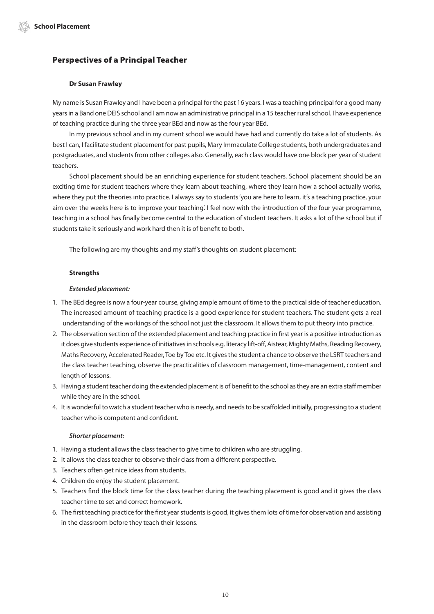#### **Perspectives of a Principal Teacher**

#### **Dr Susan Frawley**

My name is Susan Frawley and I have been a principal for the past 16 years. I was a teaching principal for a good many years in a Band one DEIS school and I am now an administrative principal in a 15 teacher rural school. I have experience of teaching practice during the three year BEd and now as the four year BEd.

In my previous school and in my current school we would have had and currently do take a lot of students. As best I can, I facilitate student placement for past pupils, Mary Immaculate College students, both undergraduates and postgraduates, and students from other colleges also. Generally, each class would have one block per year of student teachers.

School placement should be an enriching experience for student teachers. School placement should be an exciting time for student teachers where they learn about teaching, where they learn how a school actually works, where they put the theories into practice. I always say to students'you are here to learn, it's a teaching practice, your aim over the weeks here is to improve your teaching'. I feel now with the introduction of the four year programme, teaching in a school has finally become central to the education of student teachers. It asks a lot of the school but if students take it seriously and work hard then it is of benefit to both.

The following are my thoughts and my staff's thoughts on student placement:

#### **Strengths**

#### *Extended placement:*

- 1. The BEd degree is now a four-year course, giving ample amount of time to the practical side of teacher education. The increased amount of teaching practice is a good experience for student teachers. The student gets a real understanding of the workings of the school not just the classroom. It allows them to put theory into practice.
- 2. The observation section of the extended placement and teaching practice in first year is a positive introduction as it does give students experience of initiatives in schools e.g. literacy lift-off, Aistear, Mighty Maths, Reading Recovery, Maths Recovery, Accelerated Reader, Toe by Toe etc. It gives the student a chance to observe the LSRT teachers and the class teacher teaching, observe the practicalities of classroom management, time-management, content and length of lessons.
- 3. Having a student teacher doing the extended placement is of benefit to the school as they are an extra staff member while they are in the school.
- 4. It is wonderful to watch a student teacher who is needy, and needs to be scaffolded initially, progressing to a student teacher who is competent and confident.

#### *Shorter placement:*

- 1. Having a student allows the class teacher to give time to children who are struggling.
- 2. It allows the class teacher to observe their class from a different perspective.
- 3. Teachers often get nice ideas from students.
- 4. Children do enjoy the student placement.
- 5. Teachers find the block time for the class teacher during the teaching placement is good and it gives the class teacher time to set and correct homework.
- 6. The first teaching practice for the first year students is good, it gives them lots of time for observation and assisting in the classroom before they teach their lessons.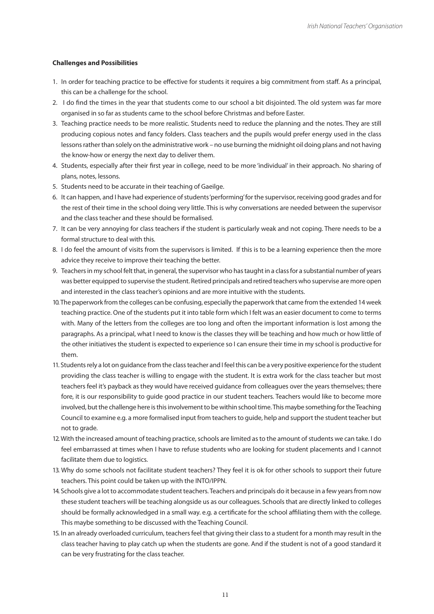#### **Challenges and Possibilities**

- 1. In order for teaching practice to be effective for students it requires a big commitment from staff. As a principal, this can be a challenge for the school.
- 2. I do find the times in the year that students come to our school a bit disjointed. The old system was far more organised in so far as students came to the school before Christmas and before Easter.
- 3. Teaching practice needs to be more realistic. Students need to reduce the planning and the notes. They are still producing copious notes and fancy folders. Class teachers and the pupils would prefer energy used in the class lessons rather than solely on the administrative work – no use burning the midnight oil doing plans and not having the know-how or energy the next day to deliver them.
- 4. Students, especially after their first year in college, need to be more 'individual' in their approach. No sharing of plans, notes, lessons.
- 5. Students need to be accurate in their teaching of Gaeilge.
- 6. It can happen, and I have had experience of students' performing' for the supervisor, receiving good grades and for the rest of their time in the school doing very little. This is why conversations are needed between the supervisor and the class teacher and these should be formalised.
- 7. It can be very annoying for class teachers if the student is particularly weak and not coping. There needs to be a formal structure to deal with this.
- 8. I do feel the amount of visits from the supervisors is limited. If this is to be a learning experience then the more advice they receive to improve their teaching the better.
- 9. Teachers in my school felt that, in general, the supervisor who has taught in a class for a substantial number of years was better equipped to supervise the student. Retired principals and retired teachers who supervise are more open and interested in the class teacher's opinions and are more intuitive with the students.
- 10.The paperwork from the colleges can be confusing, especially the paperwork that came from the extended 14 week teaching practice. One of the students put it into table form which I felt was an easier document to come to terms with. Many of the letters from the colleges are too long and often the important information is lost among the paragraphs. As a principal, what I need to know is the classes they will be teaching and how much or how little of the other initiatives the student is expected to experience so I can ensure their time in my school is productive for them.
- 11. Students rely a lot on guidance from the class teacher and I feel this can be a very positive experience for the student providing the class teacher is willing to engage with the student. It is extra work for the class teacher but most teachers feel it's payback as they would have received guidance from colleagues over the years themselves; there fore, it is our responsibility to guide good practice in our student teachers. Teachers would like to become more involved, but the challenge here is this involvement to be within school time. This maybe something for the Teaching Council to examine e.g. a more formalised input from teachersto guide, help and support the student teacher but not to grade.
- 12. With the increased amount of teaching practice, schools are limited as to the amount of students we can take. I do feel embarrassed at times when I have to refuse students who are looking for student placements and I cannot facilitate them due to logistics.
- 13. Why do some schools not facilitate student teachers? They feel it is ok for other schools to support their future teachers. This point could be taken up with the INTO/IPPN.
- 14. Schools give a lot to accommodate student teachers. Teachers and principals do it because in a few years from now these student teachers will be teaching alongside us as our colleagues. Schoolsthat are directly linked to colleges should be formally acknowledged in a small way. e.g. a certificate for the school affiliating them with the college. This maybe something to be discussed with the Teaching Council.
- 15. In an already overloaded curriculum, teachersfeel that giving their classto a student for a month may result in the class teacher having to play catch up when the students are gone. And if the student is not of a good standard it can be very frustrating for the class teacher.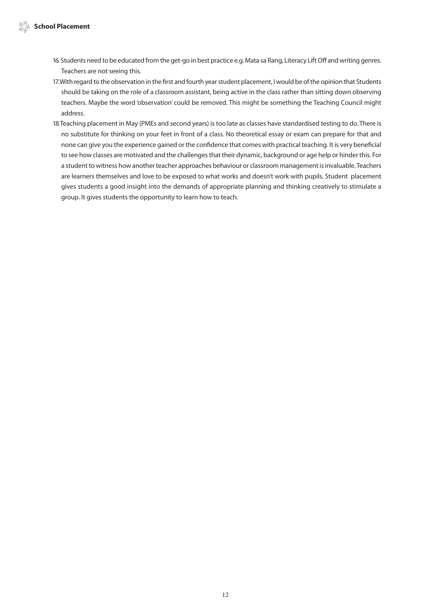- 16. Students need to be educated from the get-go in best practice e.g. Mata sa Rang, Literacy LiftOff and writing genres. Teachers are not seeing this.
- 17. With regard to the observation in the first and fourth year student placement, I would be of the opinion that Students should be taking on the role of a classroom assistant, being active in the class rather than sitting down observing teachers. Maybe the word 'observation' could be removed. This might be something the Teaching Council might address.
- 18.Teaching placement in May (PMEs and second years) istoo late as classes have standardised testing to do. There is no substitute for thinking on your feet in front of a class. No theoretical essay or exam can prepare for that and none can give you the experience gained or the confidence that comes with practical teaching. It is very beneficial to see how classes are motivated and the challenges that their dynamic, background or age help or hinder this. For a student to witness how another teacher approaches behaviour or classroom management is invaluable. Teachers are learners themselves and love to be exposed to what works and doesn't work with pupils. Student placement gives students a good insight into the demands of appropriate planning and thinking creatively to stimulate a group. It gives students the opportunity to learn how to teach.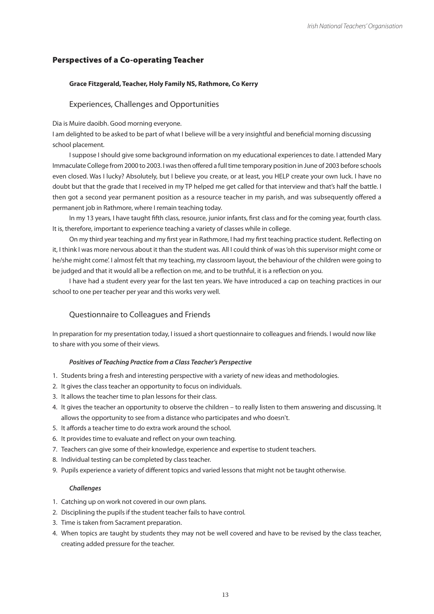#### **Perspectives of a Co-operating Teacher**

#### **Grace Fitzgerald, Teacher, Holy Family NS, Rathmore, Co Kerry**

#### Experiences, Challenges and Opportunities

Dia is Muire daoibh. Good morning everyone.

I am delighted to be asked to be part of what I believe will be a very insightful and beneficial morning discussing school placement.

I suppose I should give some background information on my educational experiences to date. I attended Mary Immaculate College from 2000 to 2003. I was then offered a full time temporary position in June of 2003 before schools even closed. Was I lucky? Absolutely, but I believe you create, or at least, you HELP create your own luck. I have no doubt but that the grade that I received in my TP helped me get called for that interview and that's half the battle. I then got a second year permanent position as a resource teacher in my parish, and was subsequently offered a permanent job in Rathmore, where I remain teaching today.

In my 13 years, I have taught fifth class, resource, junior infants, first class and for the coming year, fourth class. It is, therefore, important to experience teaching a variety of classes while in college.

On my third year teaching and my first year in Rathmore, I had my first teaching practice student. Reflecting on it, I think I was more nervous about it than the student was. All I could think of was'oh this supervisor might come or he/she might come'. I almost felt that my teaching, my classroom layout, the behaviour of the children were going to be judged and that it would all be a reflection on me, and to be truthful, it is a reflection on you.

I have had a student every year for the last ten years. We have introduced a cap on teaching practices in our school to one per teacher per year and this works very well.

#### Questionnaire to Colleagues and Friends

In preparation for my presentation today, I issued a short questionnaire to colleagues and friends. I would now like to share with you some of their views.

#### *Positives of Teaching Practice from a Class Teacher's Perspective*

- 1. Students bring a fresh and interesting perspective with a variety of new ideas and methodologies.
- 2. It gives the class teacher an opportunity to focus on individuals.
- 3. It allows the teacher time to plan lessons for their class.
- 4. It gives the teacher an opportunity to observe the children to really listen to them answering and discussing. It allows the opportunity to see from a distance who participates and who doesn't.
- 5. It affords a teacher time to do extra work around the school.
- 6. It provides time to evaluate and reflect on your own teaching.
- 7. Teachers can give some of their knowledge, experience and expertise to student teachers.
- 8. Individual testing can be completed by class teacher.
- 9. Pupils experience a variety of different topics and varied lessons that might not be taught otherwise.

#### *Challenges*

- 1. Catching up on work not covered in our own plans.
- 2. Disciplining the pupils if the student teacher fails to have control.
- 3. Time is taken from Sacrament preparation.
- 4. When topics are taught by students they may not be well covered and have to be revised by the class teacher, creating added pressure for the teacher.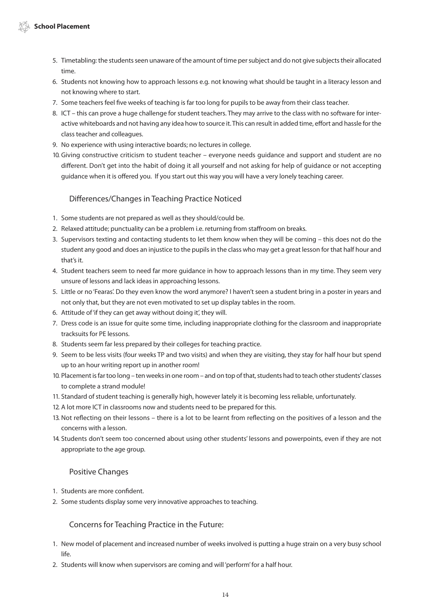- 5. Timetabling: the students seen unaware of the amount of time per subject and do not give subjects their allocated time.
- 6. Students not knowing how to approach lessons e.g. not knowing what should be taught in a literacy lesson and not knowing where to start.
- 7. Some teachers feel five weeks of teaching is far too long for pupils to be away from their class teacher.
- 8. ICT this can prove a huge challenge for student teachers. They may arrive to the class with no software for interactive whiteboards and not having any idea how to source it. This can result in added time, effort and hassle for the class teacher and colleagues.
- 9. No experience with using interactive boards; no lectures in college.
- 10. Giving constructive criticism to student teacher everyone needs guidance and support and student are no different. Don't get into the habit of doing it all yourself and not asking for help of guidance or not accepting guidance when it is offered you. If you start out this way you will have a very lonely teaching career.

#### Differences/Changes in Teaching Practice Noticed

- 1. Some students are not prepared as well as they should/could be.
- 2. Relaxed attitude; punctuality can be a problem i.e. returning from staffroom on breaks.
- 3. Supervisors texting and contacting students to let them know when they will be coming this does not do the student any good and does an injustice to the pupilsin the class who may get a great lesson for that half hour and that's it.
- 4. Student teachers seem to need far more guidance in how to approach lessons than in my time. They seem very unsure of lessons and lack ideas in approaching lessons.
- 5. Little or no'Fearas'. Do they even know the word anymore? I haven't seen a student bring in a poster in years and not only that, but they are not even motivated to set up display tables in the room.
- 6. Attitude of'if they can get away without doing it', they will.
- 7. Dress code is an issue for quite some time, including inappropriate clothing for the classroom and inappropriate tracksuits for PE lessons.
- 8. Students seem far less prepared by their colleges for teaching practice.
- 9. Seem to be less visits (four weeks TP and two visits) and when they are visiting, they stay for half hour but spend up to an hour writing report up in another room!
- 10. Placement is far too long ten weeks in one room and on top of that, students had to teach other students' classes to complete a strand module!
- 11. Standard of student teaching is generally high, however lately it is becoming less reliable, unfortunately.
- 12. A lot more ICT in classrooms now and students need to be prepared for this.
- 13. Not reflecting on their lessons there is a lot to be learnt from reflecting on the positives of a lesson and the concerns with a lesson.
- 14. Students don't seem too concerned about using other students' lessons and powerpoints, even if they are not appropriate to the age group.

#### Positive Changes

- 1. Students are more confident.
- 2. Some students display some very innovative approaches to teaching.

#### Concerns for Teaching Practice in the Future:

- 1. New model of placement and increased number of weeks involved is putting a huge strain on a very busy school life.
- 2. Students will know when supervisors are coming and will 'perform'for a half hour.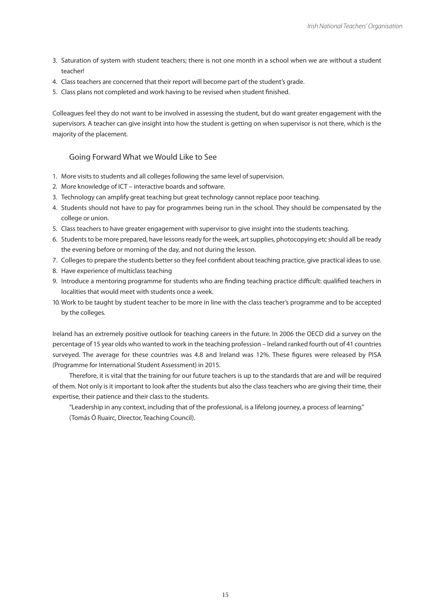- 3. Saturation of system with student teachers; there is not one month in a school when we are without a student teacher!
- 4. Class teachers are concerned that their report will become part of the student's grade.
- 5. Class plans not completed and work having to be revised when student finished.

Colleagues feel they do not want to be involved in assessing the student, but do want greater engagement with the supervisors. A teacher can give insight into how the student is getting on when supervisor is not there, which is the majority of the placement.

#### Going Forward What we Would Like to See

- 1. More visits to students and all colleges following the same level of supervision.
- 2. More knowledge of ICT interactive boards and software.
- 3. Technology can amplify great teaching but great technology cannot replace poor teaching.
- 4. Students should not have to pay for programmes being run in the school. They should be compensated by the college or union.
- 5. Class teachers to have greater engagement with supervisor to give insight into the students teaching.
- 6. Students to be more prepared, have lessons ready for the week, art supplies, photocopying etc should all be ready the evening before or morning of the day, and not during the lesson.
- 7. Colleges to prepare the students better so they feel confident about teaching practice, give practical ideas to use.
- 8. Have experience of multiclass teaching
- 9. Introduce a mentoring programme for students who are finding teaching practice difficult: qualified teachers in localities that would meet with students once a week.
- 10. Work to be taught by student teacher to be more in line with the class teacher's programme and to be accepted by the colleges.

Ireland has an extremely positive outlook for teaching careers in the future. In 2006 the OECD did a survey on the percentage of 15 year olds who wanted to work in the teaching profession – Ireland ranked fourth out of 41 countries surveyed. The average for these countries was 4.8 and Ireland was 12%. These figures were released by PISA (Programme for International Student Assessment) in 2015.

Therefore, it is vital that the training for our future teachers is up to the standards that are and will be required of them. Not only is it important to look after the students but also the class teachers who are giving their time, their expertise, their patience and their class to the students.

"Leadership in any context, including that of the professional, is a lifelong journey, a process of learning." (Tomás Ó Ruairc, Director, Teaching Council).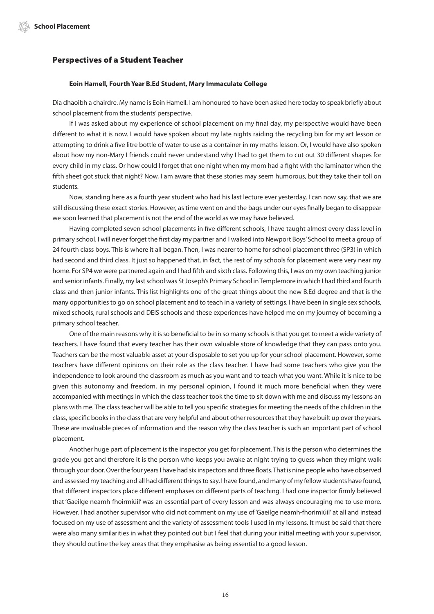#### **Perspectives of a Student Teacher**

#### **Eoin Hamell, Fourth Year B.Ed Student, Mary Immaculate College**

Dia dhaoibh a chairdre. My name is Eoin Hamell. I am honoured to have been asked here today to speak briefly about school placement from the students'perspective.

If I was asked about my experience of school placement on my final day, my perspective would have been different to what it is now. I would have spoken about my late nights raiding the recycling bin for my art lesson or attempting to drink a five litre bottle of water to use as a container in my maths lesson. Or, I would have also spoken about how my non-Mary I friends could never understand why I had to get them to cut out 30 different shapes for every child in my class. Or how could I forget that one night when my mom had a fight with the laminator when the fifth sheet got stuck that night? Now, I am aware that these stories may seem humorous, but they take their toll on students.

Now, standing here as a fourth year student who had his last lecture ever yesterday, I can now say, that we are still discussing these exact stories. However, as time went on and the bags under our eyes finally began to disappear we soon learned that placement is not the end of the world as we may have believed.

Having completed seven school placements in five different schools, I have taught almost every class level in primary school. I will never forget the first day my partner and I walked into Newport Boys'School to meet a group of 24 fourth class boys. This is where it all began. Then, I was nearer to home for school placement three (SP3) in which had second and third class. It just so happened that, in fact, the rest of my schools for placement were very near my home. For SP4 we were partnered again and I had fifth and sixth class. Following this, I was on my own teaching junior and senior infants. Finally, my last school was St Joseph's Primary School in Templemore in which I had third and fourth class and then junior infants. This list highlights one of the great things about the new B.Ed degree and that is the many opportunities to go on school placement and to teach in a variety of settings. I have been in single sex schools, mixed schools, rural schools and DEIS schools and these experiences have helped me on my journey of becoming a primary school teacher.

One of the main reasons why it isso beneficial to be in so many schoolsisthat you get to meet a wide variety of teachers. I have found that every teacher has their own valuable store of knowledge that they can pass onto you. Teachers can be the most valuable asset at your disposable to set you up for your school placement. However, some teachers have different opinions on their role as the class teacher. I have had some teachers who give you the independence to look around the classroom as much as you want and to teach what you want. While it is nice to be given this autonomy and freedom, in my personal opinion, I found it much more beneficial when they were accompanied with meetings in which the class teacher took the time to sit down with me and discuss my lessons an plans with me. The class teacher will be able to tell you specific strategies for meeting the needs of the children in the class, specific books in the class that are very helpful and about other resources that they have built up over the years. These are invaluable pieces of information and the reason why the class teacher is such an important part of school placement.

Another huge part of placement is the inspector you get for placement. This is the person who determines the grade you get and therefore it is the person who keeps you awake at night trying to guess when they might walk through your door. Over the four years I have had six inspectors and three floats. That is nine people who have observed and assessed my teaching and all had different things to say. I have found, and many of my fellow students have found, that different inspectors place different emphases on different parts of teaching. I had one inspector firmly believed that 'Gaeilge neamh-fhoirmiúil' was an essential part of every lesson and was always encouraging me to use more. However, I had another supervisor who did not comment on my use of'Gaeilge neamh-fhorimiúil' at all and instead focused on my use of assessment and the variety of assessment tools I used in my lessons. It must be said that there were also many similarities in what they pointed out but I feel that during your initial meeting with your supervisor, they should outline the key areas that they emphasise as being essential to a good lesson.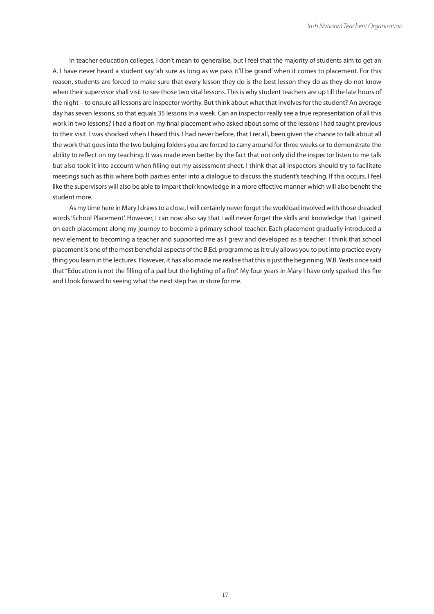In teacher education colleges, I don't mean to generalise, but I feel that the majority of students aim to get an A. I have never heard a student say 'ah sure as long as we pass it'll be grand' when it comes to placement. For this reason, students are forced to make sure that every lesson they do is the best lesson they do as they do not know when their supervisor shall visit to see those two vital lessons. This is why student teachers are up till the late hours of the night – to ensure all lessons are inspector worthy. But think about what that involves for the student? An average day has seven lessons, so that equals 35 lessons in a week. Can an inspector really see a true representation of all this work in two lessons? I had a float on my final placement who asked about some of the lessons I had taught previous to their visit. I was shocked when I heard this. I had never before, that I recall, been given the chance to talk about all the work that goesinto the two bulging folders you are forced to carry around for three weeks or to demonstrate the ability to reflect on my teaching. It was made even better by the fact that not only did the inspector listen to me talk but also took it into account when filling out my assessment sheet. I think that all inspectors should try to facilitate meetings such as this where both parties enter into a dialogue to discuss the student's teaching. If this occurs, I feel like the supervisors will also be able to impart their knowledge in a more effective manner which will also benefit the student more.

As my time here in Mary I draws to a close, I will certainly never forget the workload involved with those dreaded words'School Placement'. However, I can now also say that I will never forget the skills and knowledge that I gained on each placement along my journey to become a primary school teacher. Each placement gradually introduced a new element to becoming a teacher and supported me as I grew and developed as a teacher. I think that school placementis one ofthe most beneficial aspects ofthe B.Ed. programme asittruly allows you to putinto practice every thing you learn in the lectures. However, it has also made me realise that this is just the beginning. W.B. Yeats once said that"Education is not the filling of a pail but the lighting of a fire". My four years in Mary I have only sparked this fire and I look forward to seeing what the next step has in store for me.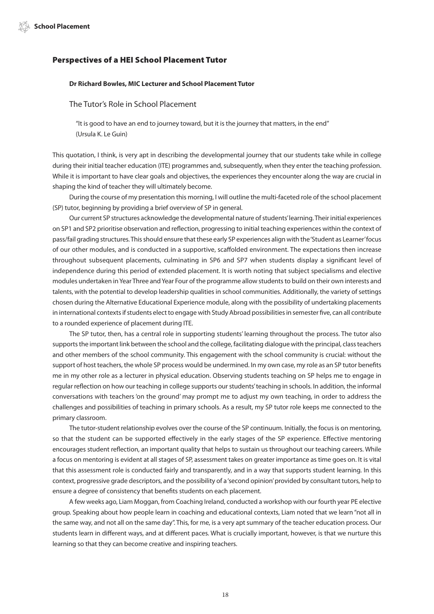#### **Perspectives of a HEI School Placement Tutor**

#### **Dr Richard Bowles, MIC Lecturer and School Placement Tutor**

#### The Tutor's Role in School Placement

"It is good to have an end to journey toward, but it is the journey that matters, in the end" (Ursula K. Le Guin)

This quotation, I think, is very apt in describing the developmental journey that our students take while in college during their initial teacher education (ITE) programmes and, subsequently, when they enter the teaching profession. While it is important to have clear goals and objectives, the experiences they encounter along the way are crucial in shaping the kind of teacher they will ultimately become.

During the course of my presentation this morning, I will outline the multi-faceted role of the school placement (SP) tutor, beginning by providing a brief overview of SP in general.

Our current SP structures acknowledge the developmental nature of students' learning. Their initial experiences on SP1 and SP2 prioritise observation and reflection, progressing to initial teaching experiences within the context of pass/fail grading structures. This should ensure that these early SP experiences align with the 'Student as Learner' focus of our other modules, and is conducted in a supportive, scaffolded environment. The expectations then increase throughout subsequent placements, culminating in SP6 and SP7 when students display a significant level of independence during this period of extended placement. It is worth noting that subject specialisms and elective modules undertaken in Year Three and Year Four of the programme allow students to build on their own interests and talents, with the potential to develop leadership qualities in school communities. Additionally, the variety of settings chosen during the Alternative Educational Experience module, along with the possibility of undertaking placements in international contexts if students elect to engage with Study Abroad possibilities in semester five, can all contribute to a rounded experience of placement during ITE.

The SP tutor, then, has a central role in supporting students' learning throughout the process. The tutor also supports the important link between the school and the college, facilitating dialogue with the principal, class teachers and other members of the school community. This engagement with the school community is crucial: without the support of host teachers, the whole SP process would be undermined. In my own case, my role as an SP tutor benefits me in my other role as a lecturer in physical education. Observing students teaching on SP helps me to engage in regular reflection on how our teaching in college supports ourstudents'teaching in schools. In addition, the informal conversations with teachers'on the ground' may prompt me to adjust my own teaching, in order to address the challenges and possibilities of teaching in primary schools. As a result, my SP tutor role keeps me connected to the primary classroom.

The tutor-student relationship evolves over the course of the SP continuum. Initially, the focus is on mentoring, so that the student can be supported effectively in the early stages of the SP experience. Effective mentoring encourages student reflection, an important quality that helps to sustain us throughout our teaching careers. While a focus on mentoring is evident at all stages of SP, assessment takes on greater importance as time goes on. It is vital that this assessment role is conducted fairly and transparently, and in a way that supports student learning. In this context, progressive grade descriptors, and the possibility of a'second opinion'provided by consultant tutors, help to ensure a degree of consistency that benefits students on each placement.

A few weeks ago, Liam Moggan, from Coaching Ireland, conducted a workshop with our fourth year PE elective group. Speaking about how people learn in coaching and educational contexts, Liam noted that we learn "not all in the same way, and not all on the same day". This, for me, is a very apt summary of the teacher education process. Our students learn in different ways, and at different paces. What is crucially important, however, is that we nurture this learning so that they can become creative and inspiring teachers.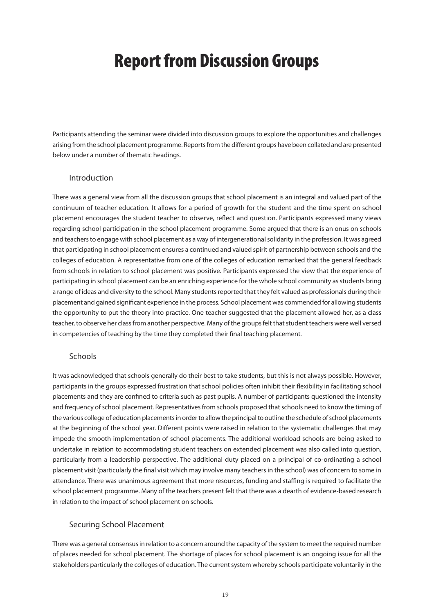## **Report from Discussion Groups**

Participants attending the seminar were divided into discussion groups to explore the opportunities and challenges arising from the school placement programme. Reportsfrom the different groups have been collated and are presented below under a number of thematic headings.

#### Introduction

There was a general view from all the discussion groups that school placement is an integral and valued part of the continuum of teacher education. It allows for a period of growth for the student and the time spent on school placement encourages the student teacher to observe, reflect and question. Participants expressed many views regarding school participation in the school placement programme. Some argued that there is an onus on schools and teachers to engage with school placement as a way of intergenerational solidarity in the profession. It was agreed that participating in school placement ensures a continued and valued spirit of partnership between schools and the colleges of education. A representative from one of the colleges of education remarked that the general feedback from schools in relation to school placement was positive. Participants expressed the view that the experience of participating in school placement can be an enriching experience for the whole school community as students bring a range of ideas and diversity to the school. Many students reported that they felt valued as professionals during their placement and gained significant experience in the process. School placement was commended for allowing students the opportunity to put the theory into practice. One teacher suggested that the placement allowed her, as a class teacher, to observe her class from another perspective. Many of the groups felt that student teachers were well versed in competencies of teaching by the time they completed their final teaching placement.

#### Schools

It was acknowledged that schools generally do their best to take students, but this is not always possible. However, participants in the groups expressed frustration that school policies often inhibit their flexibility in facilitating school placements and they are confined to criteria such as past pupils. A number of participants questioned the intensity and frequency of school placement. Representatives from schools proposed that schools need to know the timing of the various college of education placements in order to allow the principal to outline the schedule of school placements at the beginning of the school year. Different points were raised in relation to the systematic challenges that may impede the smooth implementation of school placements. The additional workload schools are being asked to undertake in relation to accommodating student teachers on extended placement was also called into question, particularly from a leadership perspective. The additional duty placed on a principal of co-ordinating a school placement visit (particularly the final visit which may involve many teachers in the school) was of concern to some in attendance. There was unanimous agreement that more resources, funding and staffing is required to facilitate the school placement programme. Many of the teachers present felt that there was a dearth of evidence-based research in relation to the impact of school placement on schools.

#### Securing School Placement

There was a general consensus in relation to a concern around the capacity of the system to meet the required number of places needed for school placement. The shortage of places for school placement is an ongoing issue for all the stakeholders particularly the colleges of education. The current system whereby schools participate voluntarily in the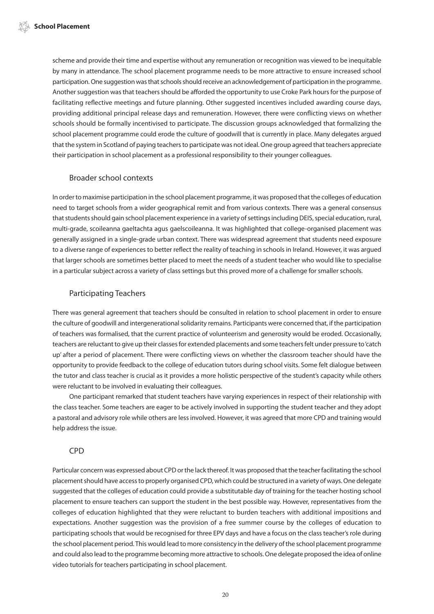scheme and provide their time and expertise without any remuneration or recognition was viewed to be inequitable by many in attendance. The school placement programme needs to be more attractive to ensure increased school participation. One suggestion was that schools should receive an acknowledgement of participation in the programme. Another suggestion was that teachers should be afforded the opportunity to use Croke Park hours for the purpose of facilitating reflective meetings and future planning. Other suggested incentives included awarding course days, providing additional principal release days and remuneration. However, there were conflicting views on whether schools should be formally incentivised to participate. The discussion groups acknowledged that formalizing the school placement programme could erode the culture of goodwill that is currently in place. Many delegates argued that the system in Scotland of paying teachers to participate was not ideal. One group agreed that teachers appreciate their participation in school placement as a professional responsibility to their younger colleagues.

#### Broader school contexts

In order to maximise participation in the school placement programme, it was proposed that the colleges of education need to target schools from a wider geographical remit and from various contexts. There was a general consensus that students should gain school placement experience in a variety of settings including DEIS, special education, rural, multi-grade, scoileanna gaeltachta agus gaelscoileanna. It was highlighted that college-organised placement was generally assigned in a single-grade urban context. There was widespread agreement that students need exposure to a diverse range of experiencesto better reflect the reality of teaching in schoolsin Ireland. However, it was argued that larger schools are sometimes better placed to meet the needs of a student teacher who would like to specialise in a particular subject across a variety of class settings but this proved more of a challenge for smaller schools.

#### Participating Teachers

There was general agreement that teachers should be consulted in relation to school placement in order to ensure the culture of goodwill and intergenerational solidarity remains. Participants were concerned that, if the participation of teachers was formalised, that the current practice of volunteerism and generosity would be eroded. Occasionally, teachers are reluctant to give up their classes for extended placements and some teachers felt under pressure to'catch up' after a period of placement. There were conflicting views on whether the classroom teacher should have the opportunity to provide feedback to the college of education tutors during school visits. Some felt dialogue between the tutor and class teacher is crucial as it provides a more holistic perspective of the student's capacity while others were reluctant to be involved in evaluating their colleagues.

One participant remarked that student teachers have varying experiences in respect of their relationship with the class teacher. Some teachers are eager to be actively involved in supporting the student teacher and they adopt a pastoral and advisory role while others are less involved. However, it was agreed that more CPD and training would help address the issue.

#### CPD

Particular concern was expressed about CPD or the lack thereof. It was proposed that the teacher facilitating the school placement should have access to properly organised CPD, which could be structured in a variety of ways. One delegate suggested that the colleges of education could provide a substitutable day of training for the teacher hosting school placement to ensure teachers can support the student in the best possible way. However, representatives from the colleges of education highlighted that they were reluctant to burden teachers with additional impositions and expectations. Another suggestion was the provision of a free summer course by the colleges of education to participating schools that would be recognised for three EPV days and have a focus on the class teacher's role during the school placement period.This would lead to more consistency in the delivery ofthe school placement programme and could also lead to the programme becoming more attractive to schools. One delegate proposed the idea of online video tutorials for teachers participating in school placement.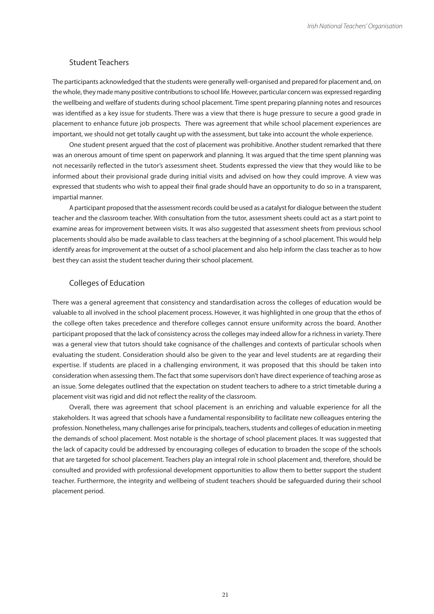#### Student Teachers

The participants acknowledged that the students were generally well-organised and prepared for placement and, on the whole, they made many positive contributions to school life. However, particular concern was expressed regarding the wellbeing and welfare of students during school placement. Time spent preparing planning notes and resources was identified as a key issue for students. There was a view that there is huge pressure to secure a good grade in placement to enhance future job prospects. There was agreement that while school placement experiences are important, we should not get totally caught up with the assessment, but take into account the whole experience.

One student present argued that the cost of placement was prohibitive. Another student remarked that there was an onerous amount of time spent on paperwork and planning. It was argued that the time spent planning was not necessarily reflected in the tutor's assessment sheet. Students expressed the view that they would like to be informed about their provisional grade during initial visits and advised on how they could improve. A view was expressed that students who wish to appeal their final grade should have an opportunity to do so in a transparent, impartial manner.

A participant proposed that the assessment records could be used as a catalyst for dialogue between the student teacher and the classroom teacher. With consultation from the tutor, assessment sheets could act as a start point to examine areas for improvement between visits. It was also suggested that assessment sheets from previous school placements should also be made available to class teachers at the beginning of a school placement. This would help identify areas for improvement at the outset of a school placement and also help inform the class teacher as to how best they can assist the student teacher during their school placement.

#### Colleges of Education

There was a general agreement that consistency and standardisation across the colleges of education would be valuable to all involved in the school placement process. However, it was highlighted in one group that the ethos of the college often takes precedence and therefore colleges cannot ensure uniformity across the board. Another participant proposed that the lack of consistency acrossthe colleges may indeed allow for a richnessin variety. There was a general view that tutors should take cognisance of the challenges and contexts of particular schools when evaluating the student. Consideration should also be given to the year and level students are at regarding their expertise. If students are placed in a challenging environment, it was proposed that this should be taken into consideration when assessing them. The fact that some supervisors don't have direct experience of teaching arose as an issue. Some delegates outlined that the expectation on student teachers to adhere to a strict timetable during a placement visit was rigid and did not reflect the reality of the classroom.

Overall, there was agreement that school placement is an enriching and valuable experience for all the stakeholders. It was agreed that schools have a fundamental responsibility to facilitate new colleagues entering the profession. Nonetheless, many challenges arise for principals, teachers, students and colleges of education in meeting the demands of school placement. Most notable is the shortage of school placement places. It was suggested that the lack of capacity could be addressed by encouraging colleges of education to broaden the scope of the schools that are targeted for school placement. Teachers play an integral role in school placement and, therefore, should be consulted and provided with professional development opportunities to allow them to better support the student teacher. Furthermore, the integrity and wellbeing of student teachers should be safeguarded during their school placement period.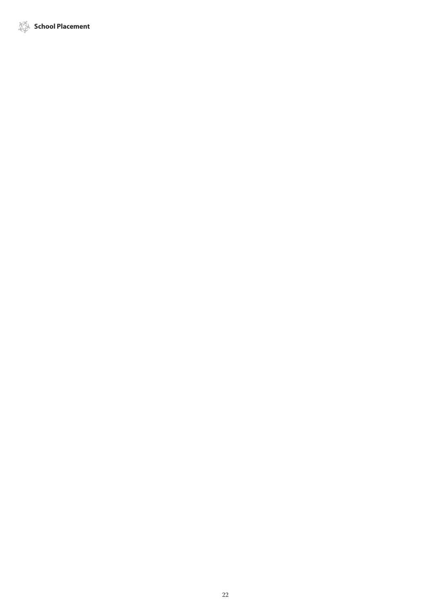

**School Placement**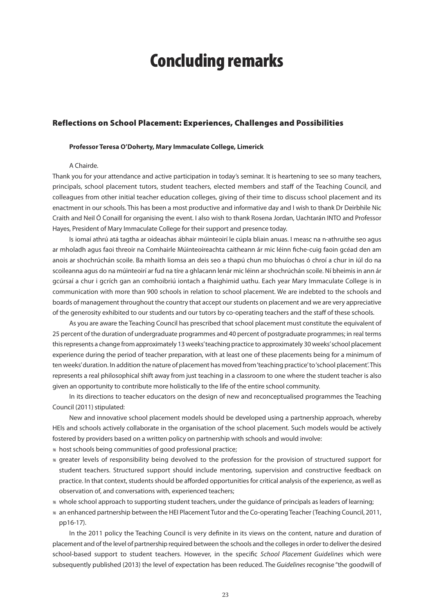## **Concluding remarks**

#### **Reflections on School Placement: Experiences, Challenges and Possibilities**

#### **Professor Teresa O'Doherty, Mary Immaculate College, Limerick**

#### A Chairde.

Thank you for your attendance and active participation in today's seminar. It is heartening to see so many teachers, principals, school placement tutors, student teachers, elected members and staff of the Teaching Council, and colleagues from other initial teacher education colleges, giving of their time to discuss school placement and its enactment in our schools. This has been a most productive and informative day and I wish to thank Dr Deirbhile Nic Craith and Neil Ó Conaill for organising the event. I also wish to thank Rosena Jordan, Uachtarán INTO and Professor Hayes, President of Mary Immaculate College for their support and presence today.

Is iomaí athrú atá tagtha ar oideachas ábhair múinteoirí le cúpla bliain anuas. I measc na n-athruithe seo agus ar mholadh agus faoi threoir na Comhairle Múinteoireachta caitheann ár mic léinn fiche-cuig faoin gcéad den am anois ar shochrúchán scoile. Ba mhaith liomsa an deis seo a thapú chun mo bhuíochas ó chroí a chur in iúl do na scoileanna agus do na múinteoirí ar fud na tíre a ghlacann lenár mic léinn arshochrúchán scoile. Ní bheimisin ann ár gcúrsaí a chur i gcrích gan an comhoibriú iontach a fhaighimid uathu. Each year Mary Immaculate College is in communication with more than 900 schools in relation to school placement. We are indebted to the schools and boards of management throughout the country that accept ourstudents on placement and we are very appreciative of the generosity exhibited to our students and our tutors by co-operating teachers and the staff of these schools.

As you are aware the Teaching Council has prescribed that school placement must constitute the equivalent of 25 percent of the duration of undergraduate programmes and 40 percent of postgraduate programmes; in real terms thisrepresents a change from approximately 13 weeks'teaching practice to approximately 30 weeks'school placement experience during the period of teacher preparation, with at least one of these placements being for a minimum of ten weeks'duration. In addition the nature of placement has moved from'teaching practice'to'school placement'.This represents a real philosophical shift away from just teaching in a classroom to one where the student teacher is also given an opportunity to contribute more holistically to the life of the entire school community.

In its directions to teacher educators on the design of new and reconceptualised programmes the Teaching Council (2011) stipulated:

New and innovative school placement models should be developed using a partnership approach, whereby HEIs and schools actively collaborate in the organisation of the school placement. Such models would be actively fostered by providers based on a written policy on partnership with schools and would involve:

 $*$  host schools being communities of good professional practice;

- l greater levels of responsibility being devolved to the profession for the provision of structured support for student teachers. Structured support should include mentoring, supervision and constructive feedback on practice. In that context, students should be afforded opportunities for critical analysis of the experience, as well as observation of, and conversations with, experienced teachers;
- l whole school approach to supporting student teachers, under the guidance of principals as leaders of learning;
- l an enhanced partnership between the HEI Placement Tutor and the Co-operatingTeacher (Teaching Council, 2011, pp16-17).

In the 2011 policy the Teaching Council is very definite in its views on the content, nature and duration of placement and ofthe level of partnership required between the schools and the collegesin orderto deliverthe desired school-based support to student teachers. However, in the specific School Placement Guidelines which were subsequently published (2013) the level of expectation has been reduced. The Guidelines recognise "the goodwill of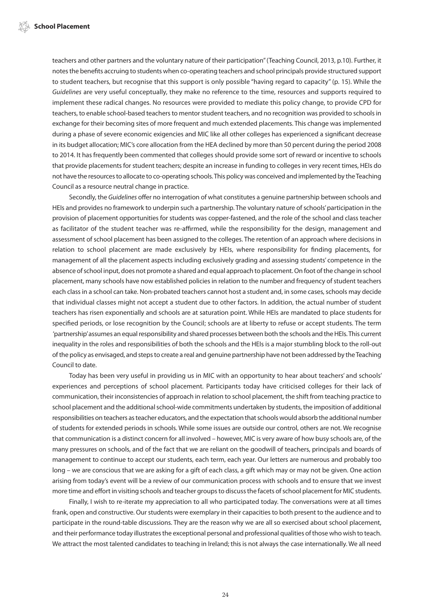teachers and other partners and the voluntary nature of their participation"(Teaching Council, 2013, p.10). Further, it notesthe benefits accruing to students when co-operating teachers and school principals provide structured support to student teachers, but recognise that this support is only possible "having regard to capacity" (p. 15). While the Guidelines are very useful conceptually, they make no reference to the time, resources and supports required to implement these radical changes. No resources were provided to mediate this policy change, to provide CPD for teachers, to enable school-based teachers to mentor student teachers, and no recognition was provided to schools in exchange for their becoming sites of more frequent and much extended placements. This change was implemented during a phase of severe economic exigencies and MIC like all other colleges has experienced a significant decrease in its budget allocation; MIC's core allocation from the HEA declined by more than 50 percent during the period 2008 to 2014. It has frequently been commented that colleges should provide some sort of reward or incentive to schools that provide placements for student teachers; despite an increase in funding to colleges in very recent times, HEIs do not have the resourcesto allocate to co-operating schools.This policy was conceived and implemented by theTeaching Council as a resource neutral change in practice.

Secondly, the Guidelines offer no interrogation of what constitutes a genuine partnership between schools and HEIs and provides no framework to underpin such a partnership. The voluntary nature of schools' participation in the provision of placement opportunities for students was copper-fastened, and the role of the school and class teacher as facilitator of the student teacher was re-affirmed, while the responsibility for the design, management and assessment of school placement has been assigned to the colleges. The retention of an approach where decisions in relation to school placement are made exclusively by HEIs, where responsibility for finding placements, for management of all the placement aspects including exclusively grading and assessing students' competence in the absence of school input, does not promote a shared and equal approach to placement. On foot of the change in school placement, many schools have now established policies in relation to the number and frequency of student teachers each class in a school can take. Non-probated teachers cannot host a student and, in some cases, schools may decide that individual classes might not accept a student due to other factors. In addition, the actual number of student teachers has risen exponentially and schools are at saturation point. While HEIs are mandated to place students for specified periods, or lose recognition by the Council; schools are at liberty to refuse or accept students. The term 'partnership' assumes an equal responsibility and shared processes between both the schools and the HEIs. This current inequality in the roles and responsibilities of both the schools and the HEIs is a major stumbling block to the roll-out of the policy as envisaged, and steps to create a real and genuine partnership have not been addressed by the Teaching Council to date.

Today has been very useful in providing us in MIC with an opportunity to hear about teachers' and schools' experiences and perceptions of school placement. Participants today have criticised colleges for their lack of communication, their inconsistencies of approach in relation to school placement, the shift from teaching practice to school placement and the additional school-wide commitments undertaken by students, the imposition of additional responsibilities on teachers as teacher educators, and the expectation that schools would absorb the additional number of students for extended periods in schools. While some issues are outside our control, others are not. We recognise that communication is a distinct concern for all involved – however, MIC is very aware of how busy schools are, of the many pressures on schools, and of the fact that we are reliant on the goodwill of teachers, principals and boards of management to continue to accept our students, each term, each year. Our letters are numerous and probably too long – we are conscious that we are asking for a gift of each class, a gift which may or may not be given. One action arising from today's event will be a review of our communication process with schools and to ensure that we invest more time and effort in visiting schools and teacher groups to discuss the facets of school placement for MIC students.

Finally, I wish to re-iterate my appreciation to all who participated today. The conversations were at all times frank, open and constructive. Our students were exemplary in their capacities to both present to the audience and to participate in the round-table discussions. They are the reason why we are all so exercised about school placement, and their performance today illustrates the exceptional personal and professional qualities of those who wish to teach. We attract the most talented candidates to teaching in Ireland; this is not always the case internationally. We all need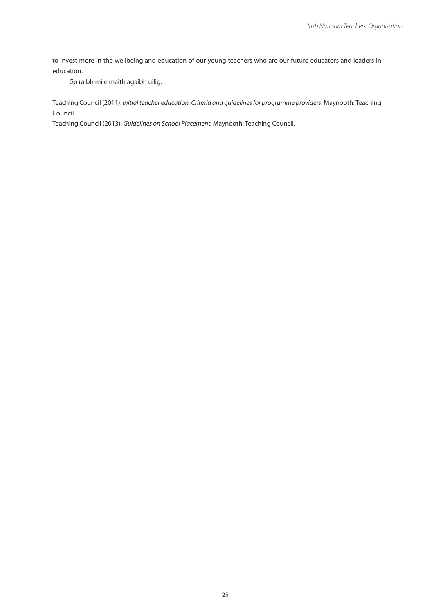to invest more in the wellbeing and education of our young teachers who are our future educators and leaders in education.

Go raibh míle maith agaibh uilig.

Teaching Council (2011). Initial teacher education: Criteria and guidelines for programme providers. Maynooth: Teaching Council

Teaching Council (2013). Guidelines on School Placement. Maynooth: Teaching Council.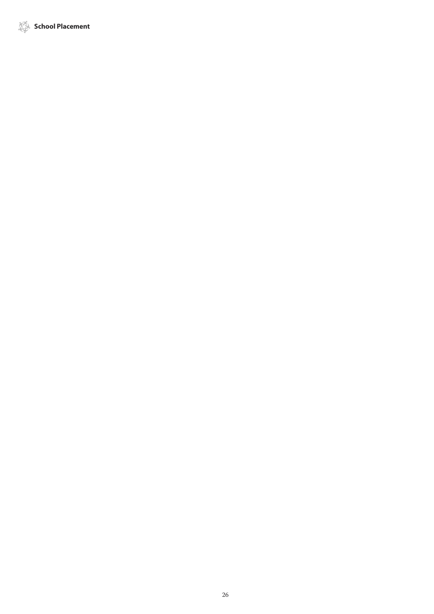

**School Placement**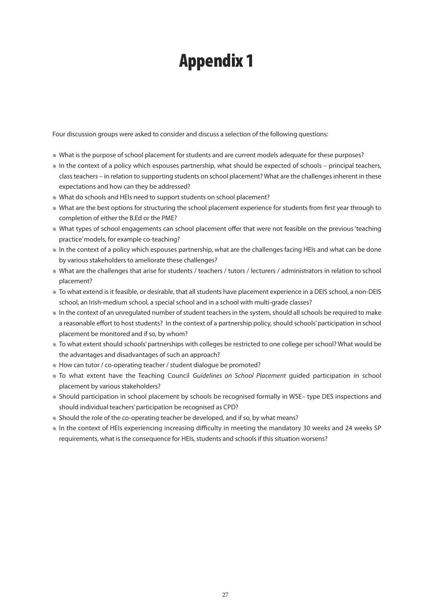# **Appendix 1**

Four discussion groups were asked to consider and discuss a selection of the following questions:

- l What is the purpose of school placement for students and are current models adequate for these purposes?
- l In the context of a policy which espouses partnership, what should be expected of schools principal teachers, class teachers – in relation to supporting students on school placement? What are the challenges inherent in these expectations and how can they be addressed?
- l What do schools and HEIs need to support students on school placement?
- l What are the best options for structuring the school placement experience for students from first year through to completion of either the B.Ed or the PME?
- l What types of school engagements can school placement offer that were not feasible on the previous'teaching practice'models, for example co-teaching?
- $*$  In the context of a policy which espouses partnership, what are the challenges facing HEIs and what can be done by various stakeholders to ameliorate these challenges?
- l What are the challenges that arise for students / teachers / tutors / lecturers / administrators in relation to school placement?
- l To what extend isit feasible, or desirable, that allstudents have placement experience in a DEIS school, a non-DEIS school, an Irish-medium school, a special school and in a school with multi-grade classes?
- $*$  In the context of an unregulated number of student teachers in the system, should all schools be required to make a reasonable effort to host students? In the context of a partnership policy, should schools'participation in school placement be monitored and if so, by whom?
- l To what extent should schools'partnerships with colleges be restricted to one college per school? What would be the advantages and disadvantages of such an approach?
- l How can tutor / co-operating teacher / student dialogue be promoted?
- $*$  To what extent have the Teaching Council Guidelines on School Placement guided participation in school placement by various stakeholders?
- l Should participation in school placement by schools be recognised formally in WSE– type DES inspections and should individual teachers'participation be recognised as CPD?
- l Should the role of the co-operating teacher be developed, and if so, by what means?
- $*$  In the context of HEIs experiencing increasing difficulty in meeting the mandatory 30 weeks and 24 weeks SP requirements, what is the consequence for HEIs, students and schools if this situation worsens?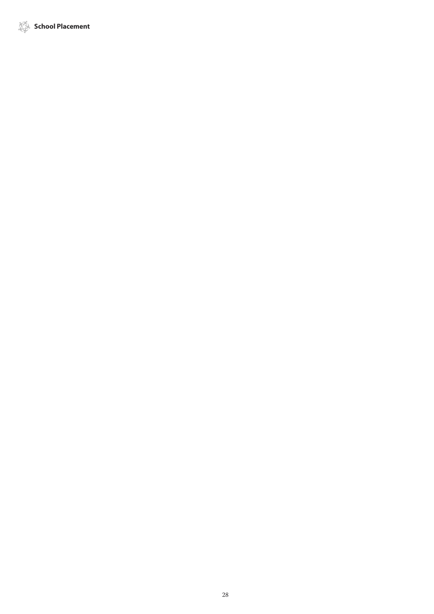

**School Placement**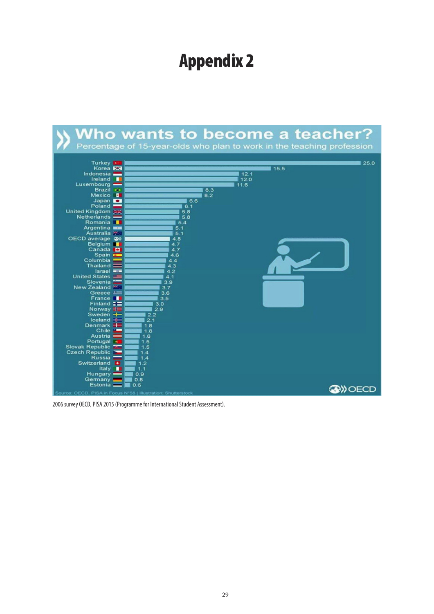# **Appendix 2**



2006 survey OECD, PISA 2015 (Programme for International Student Assessment).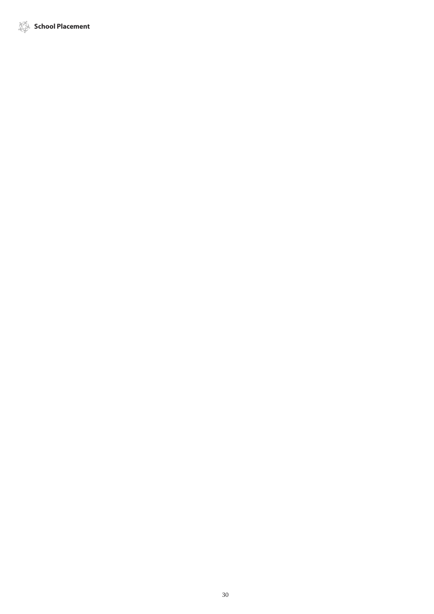

**School Placement**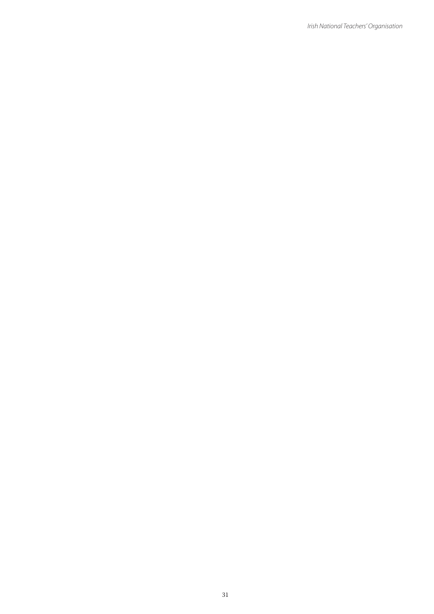*Irish National Teachers' Organisation*